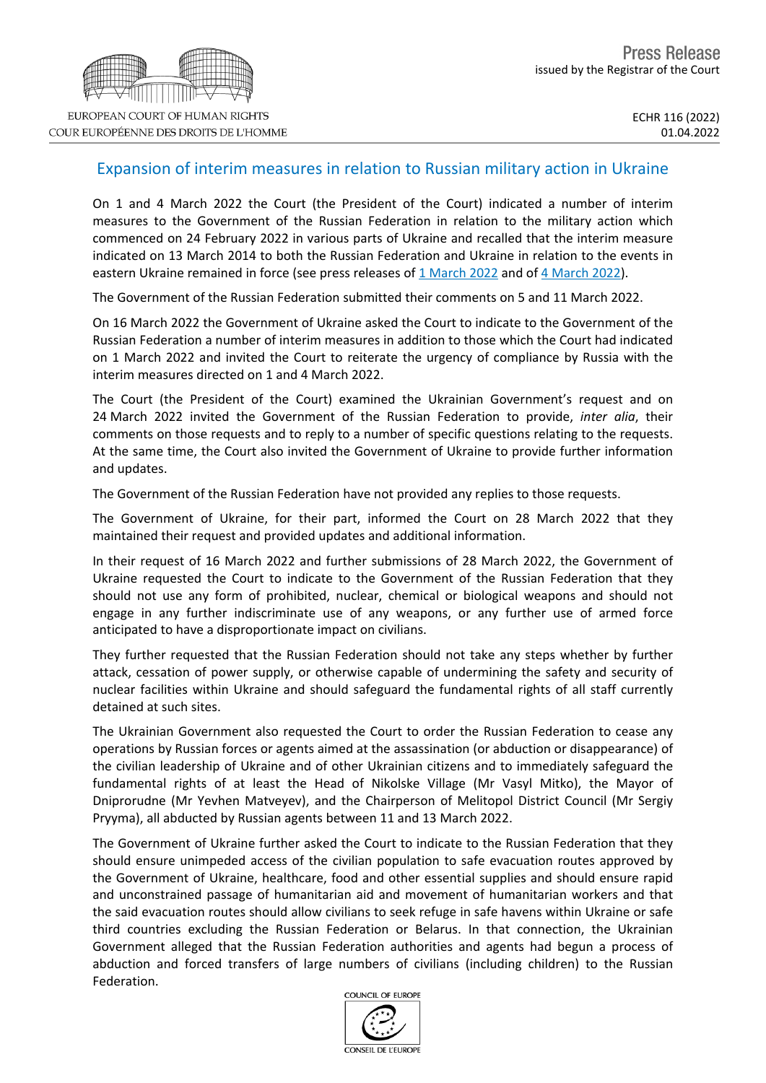## Expansion of interim measures in relation to Russian military action in Ukraine

On 1 and 4 March 2022 the Court (the President of the Court) indicated a number of interim measures to the Government of the Russian Federation in relation to the military action which commenced on 24 February 2022 in various parts of Ukraine and recalled that the interim measure indicated on 13 March 2014 to both the Russian Federation and Ukraine in relation to the events in eastern Ukraine remained in force (see press releases of 1 [March](https://hudoc.echr.coe.int/eng-press?i=003-7277548-9913621) 2022 and of 4 March 2022).

The Government of the Russian Federation submitted their comments on 5 and 11 March 2022.

On 16 March 2022 the Government of Ukraine asked the Court to indicate to the Government of the Russian Federation a number of interim measures in addition to those which the Court had indicated on 1 March 2022 and invited the Court to reiterate the urgency of compliance by Russia with the interim measures directed on 1 and 4 March 2022.

The Court (the President of the Court) examined the Ukrainian Government's request and on 24 March 2022 invited the Government of the Russian Federation to provide, *inter alia*, their comments on those requests and to reply to a number of specific questions relating to the requests. At the same time, the Court also invited the Government of Ukraine to provide further information and updates.

The Government of the Russian Federation have not provided any replies to those requests.

The Government of Ukraine, for their part, informed the Court on 28 March 2022 that they maintained their request and provided updates and additional information.

In their request of 16 March 2022 and further submissions of 28 March 2022, the Government of Ukraine requested the Court to indicate to the Government of the Russian Federation that they should not use any form of prohibited, nuclear, chemical or biological weapons and should not engage in any further indiscriminate use of any weapons, or any further use of armed force anticipated to have a disproportionate impact on civilians.

They further requested that the Russian Federation should not take any steps whether by further attack, cessation of power supply, or otherwise capable of undermining the safety and security of nuclear facilities within Ukraine and should safeguard the fundamental rights of all staff currently detained at such sites.

The Ukrainian Government also requested the Court to order the Russian Federation to cease any operations by Russian forces or agents aimed at the assassination (or abduction or disappearance) of the civilian leadership of Ukraine and of other Ukrainian citizens and to immediately safeguard the fundamental rights of at least the Head of Nikolske Village (Mr Vasyl Mitko), the Mayor of Dniprorudne (Mr Yevhen Matveyev), and the Chairperson of Melitopol District Council (Mr Sergiy Pryyma), all abducted by Russian agents between 11 and 13 March 2022.

The Government of Ukraine further asked the Court to indicate to the Russian Federation that they should ensure unimpeded access of the civilian population to safe evacuation routes approved by the Government of Ukraine, healthcare, food and other essential supplies and should ensure rapid and unconstrained passage of humanitarian aid and movement of humanitarian workers and that the said evacuation routes should allow civilians to seek refuge in safe havens within Ukraine or safe third countries excluding the Russian Federation or Belarus. In that connection, the Ukrainian Government alleged that the Russian Federation authorities and agents had begun a process of abduction and forced transfers of large numbers of civilians (including children) to the Russian Federation.